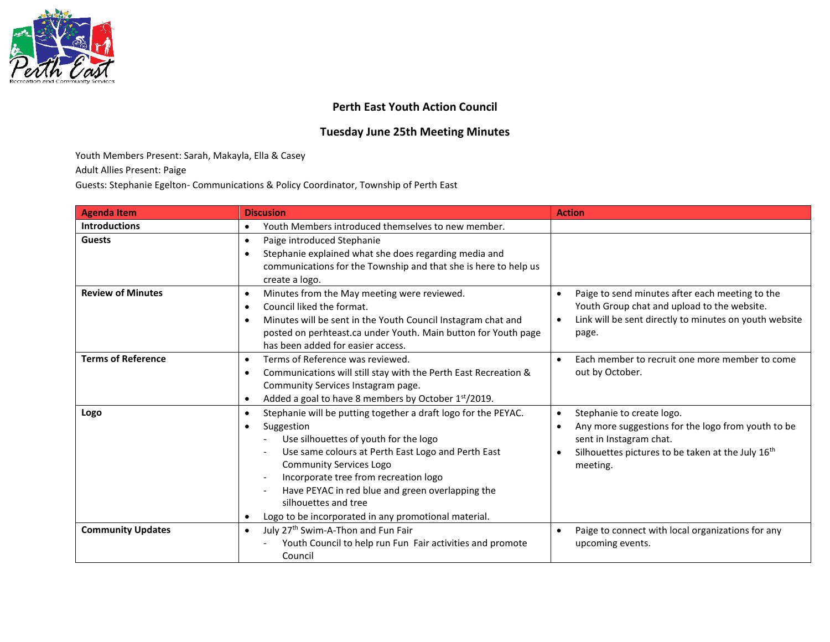

## **Perth East Youth Action Council**

## **Tuesday June 25th Meeting Minutes**

Youth Members Present: Sarah, Makayla, Ella & Casey

Adult Allies Present: Paige

Guests: Stephanie Egelton- Communications & Policy Coordinator, Township of Perth East

| <b>Agenda Item</b>        | <b>Discusion</b>                                                                                                                                                                                                                                                                                                                                                                                                                  | <b>Action</b>                                                                                                                                                                                                     |
|---------------------------|-----------------------------------------------------------------------------------------------------------------------------------------------------------------------------------------------------------------------------------------------------------------------------------------------------------------------------------------------------------------------------------------------------------------------------------|-------------------------------------------------------------------------------------------------------------------------------------------------------------------------------------------------------------------|
| <b>Introductions</b>      | Youth Members introduced themselves to new member.<br>$\bullet$                                                                                                                                                                                                                                                                                                                                                                   |                                                                                                                                                                                                                   |
| <b>Guests</b>             | Paige introduced Stephanie<br>$\bullet$<br>Stephanie explained what she does regarding media and<br>$\bullet$<br>communications for the Township and that she is here to help us<br>create a logo.                                                                                                                                                                                                                                |                                                                                                                                                                                                                   |
| <b>Review of Minutes</b>  | Minutes from the May meeting were reviewed.<br>$\bullet$<br>Council liked the format.<br>$\bullet$<br>Minutes will be sent in the Youth Council Instagram chat and<br>$\bullet$<br>posted on perhteast.ca under Youth. Main button for Youth page<br>has been added for easier access.                                                                                                                                            | Paige to send minutes after each meeting to the<br>Youth Group chat and upload to the website.<br>Link will be sent directly to minutes on youth website<br>page.                                                 |
| <b>Terms of Reference</b> | Terms of Reference was reviewed.<br>$\bullet$<br>Communications will still stay with the Perth East Recreation &<br>$\bullet$<br>Community Services Instagram page.<br>Added a goal to have 8 members by October 1 <sup>st</sup> /2019.<br>$\bullet$                                                                                                                                                                              | Each member to recruit one more member to come<br>$\bullet$<br>out by October.                                                                                                                                    |
| Logo                      | Stephanie will be putting together a draft logo for the PEYAC.<br>$\bullet$<br>Suggestion<br>$\bullet$<br>Use silhouettes of youth for the logo<br>Use same colours at Perth East Logo and Perth East<br><b>Community Services Logo</b><br>Incorporate tree from recreation logo<br>Have PEYAC in red blue and green overlapping the<br>silhouettes and tree<br>Logo to be incorporated in any promotional material.<br>$\bullet$ | Stephanie to create logo.<br>$\bullet$<br>Any more suggestions for the logo from youth to be<br>$\bullet$<br>sent in Instagram chat.<br>Silhouettes pictures to be taken at the July 16 <sup>th</sup><br>meeting. |
| <b>Community Updates</b>  | July 27 <sup>th</sup> Swim-A-Thon and Fun Fair<br>$\bullet$<br>Youth Council to help run Fun Fair activities and promote<br>Council                                                                                                                                                                                                                                                                                               | Paige to connect with local organizations for any<br>$\bullet$<br>upcoming events.                                                                                                                                |